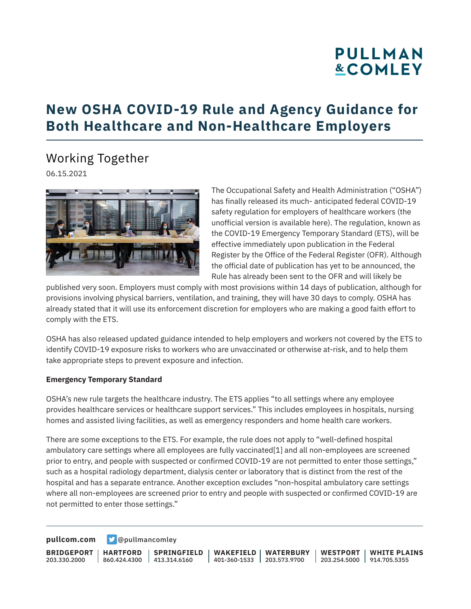# **PULLMAN &COMLEY**

### **New OSHA COVID-19 Rule and Agency Guidance for Both Healthcare and Non-Healthcare Employers**

Working Together

06.15.2021



The Occupational Safety and Health Administration ("OSHA") has finally released its much- anticipated federal COVID-19 safety regulation for employers of healthcare workers (the unofficial version is available here). The regulation, known as the COVID-19 Emergency Temporary Standard (ETS), will be effective immediately upon publication in the Federal Register by the Office of the Federal Register (OFR). Although the official date of publication has yet to be announced, the Rule has already been sent to the OFR and will likely be

published very soon. Employers must comply with most provisions within 14 days of publication, although for provisions involving physical barriers, ventilation, and training, they will have 30 days to comply. OSHA has already stated that it will use its enforcement discretion for employers who are making a good faith effort to comply with the ETS.

OSHA has also released updated guidance intended to help employers and workers not covered by the ETS to identify COVID-19 exposure risks to workers who are unvaccinated or otherwise at-risk, and to help them take appropriate steps to prevent exposure and infection.

#### **Emergency Temporary Standard**

OSHA's new rule targets the healthcare industry. The ETS applies "to all settings where any employee provides healthcare services or healthcare support services." This includes employees in hospitals, nursing homes and assisted living facilities, as well as emergency responders and home health care workers.

There are some exceptions to the ETS. For example, the rule does not apply to "well-defined hospital ambulatory care settings where all employees are fully vaccinated[1] and all non-employees are screened prior to entry, and people with suspected or confirmed COVID-19 are not permitted to enter those settings," such as a hospital radiology department, dialysis center or laboratory that is distinct from the rest of the hospital and has a separate entrance. Another exception excludes "non-hospital ambulatory care settings where all non-employees are screened prior to entry and people with suspected or confirmed COVID-19 are not permitted to enter those settings."

**[pullcom.com](https://www.pullcom.com) g** [@pullmancomley](https://twitter.com/PullmanComley)

**BRIDGEPORT** 203.330.2000

**HARTFORD** 860.424.4300

**SPRINGFIELD** 413.314.6160

**WAKEFIELD** 401-360-1533 203.573.9700 **WATERBURY WESTPORT**

203.254.5000 914.705.5355 **WHITE PLAINS**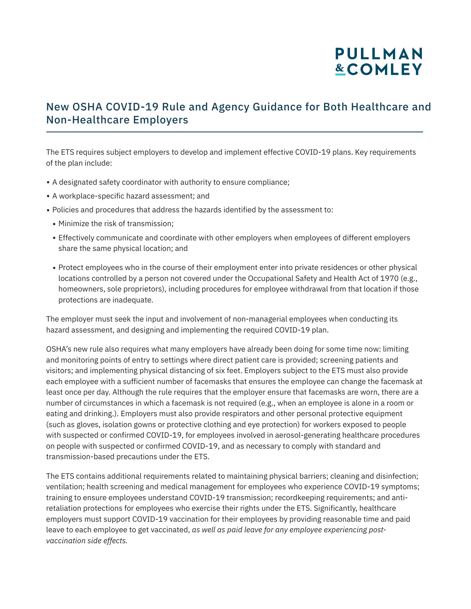## **PULLMAN &COMLEY**

### New OSHA COVID-19 Rule and Agency Guidance for Both Healthcare and Non-Healthcare Employers

The ETS requires subject employers to develop and implement effective COVID-19 plans. Key requirements of the plan include:

- A designated safety coordinator with authority to ensure compliance;
- A workplace-specific hazard assessment; and
- Policies and procedures that address the hazards identified by the assessment to:
	- Minimize the risk of transmission;
	- Effectively communicate and coordinate with other employers when employees of different employers share the same physical location; and
	- Protect employees who in the course of their employment enter into private residences or other physical locations controlled by a person not covered under the Occupational Safety and Health Act of 1970 (e.g., homeowners, sole proprietors), including procedures for employee withdrawal from that location if those protections are inadequate.

The employer must seek the input and involvement of non-managerial employees when conducting its hazard assessment, and designing and implementing the required COVID-19 plan.

OSHA's new rule also requires what many employers have already been doing for some time now: limiting and monitoring points of entry to settings where direct patient care is provided; screening patients and visitors; and implementing physical distancing of six feet. Employers subject to the ETS must also provide each employee with a sufficient number of facemasks that ensures the employee can change the facemask at least once per day. Although the rule requires that the employer ensure that facemasks are worn, there are a number of circumstances in which a facemask is not required (e.g., when an employee is alone in a room or eating and drinking.). Employers must also provide respirators and other personal protective equipment (such as gloves, isolation gowns or protective clothing and eye protection) for workers exposed to people with suspected or confirmed COVID-19, for employees involved in aerosol-generating healthcare procedures on people with suspected or confirmed COVID-19, and as necessary to comply with standard and transmission-based precautions under the ETS.

The ETS contains additional requirements related to maintaining physical barriers; cleaning and disinfection; ventilation; health screening and medical management for employees who experience COVID-19 symptoms; training to ensure employees understand COVID-19 transmission; recordkeeping requirements; and antiretaliation protections for employees who exercise their rights under the ETS. Significantly, healthcare employers must support COVID-19 vaccination for their employees by providing reasonable time and paid leave to each employee to get vaccinated, *as well as paid leave for any employee experiencing postvaccination side effects.*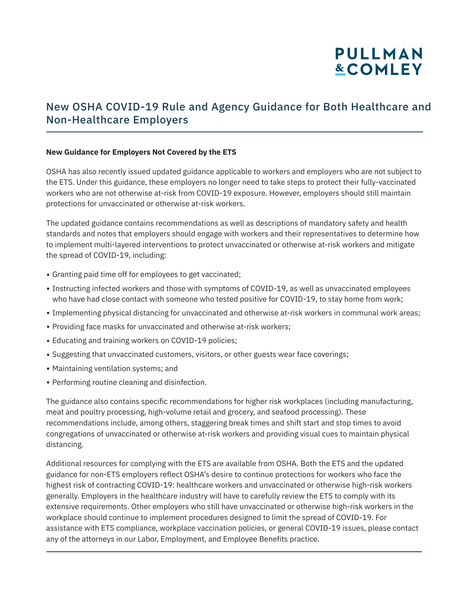## **PULLMAN &COMLEY**

### New OSHA COVID-19 Rule and Agency Guidance for Both Healthcare and Non-Healthcare Employers

#### **New Guidance for Employers Not Covered by the ETS**

OSHA has also recently issued updated guidance applicable to workers and employers who are not subject to the ETS. Under this guidance, these employers no longer need to take steps to protect their fully-vaccinated workers who are not otherwise at-risk from COVID-19 exposure. However, employers should still maintain protections for unvaccinated or otherwise at-risk workers.

The updated guidance contains recommendations as well as descriptions of mandatory safety and health standards and notes that employers should engage with workers and their representatives to determine how to implement multi-layered interventions to protect unvaccinated or otherwise at-risk workers and mitigate the spread of COVID-19, including:

- Granting paid time off for employees to get vaccinated;
- Instructing infected workers and those with symptoms of COVID-19, as well as unvaccinated employees who have had close contact with someone who tested positive for COVID-19, to stay home from work;
- Implementing physical distancing for unvaccinated and otherwise at-risk workers in communal work areas;
- Providing face masks for unvaccinated and otherwise at-risk workers;
- Educating and training workers on COVID-19 policies;
- Suggesting that unvaccinated customers, visitors, or other guests wear face coverings;
- Maintaining ventilation systems; and

l

• Performing routine cleaning and disinfection.

The guidance also contains specific recommendations for higher risk workplaces (including manufacturing, meat and poultry processing, high-volume retail and grocery, and seafood processing). These recommendations include, among others, staggering break times and shift start and stop times to avoid congregations of unvaccinated or otherwise at-risk workers and providing visual cues to maintain physical distancing.

Additional resources for complying with the ETS are available from OSHA. Both the ETS and the updated guidance for non-ETS employers reflect OSHA's desire to continue protections for workers who face the highest risk of contracting COVID-19: healthcare workers and unvaccinated or otherwise high-risk workers generally. Employers in the healthcare industry will have to carefully review the ETS to comply with its extensive requirements. Other employers who still have unvaccinated or otherwise high-risk workers in the workplace should continue to implement procedures designed to limit the spread of COVID-19. For assistance with ETS compliance, workplace vaccination policies, or general COVID-19 issues, please contact any of the attorneys in our Labor, Employment, and Employee Benefits practice.